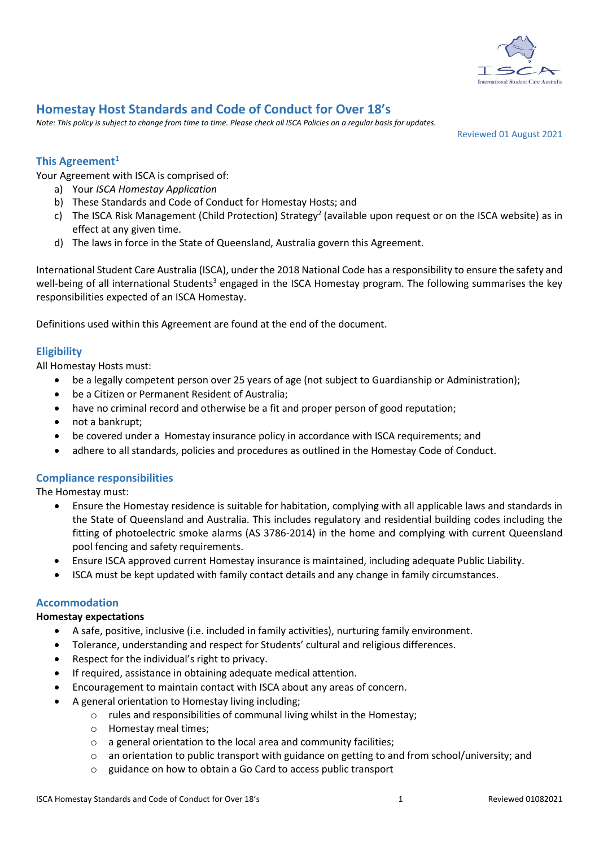

# **Homestay Host Standards and Code of Conduct for Over 18's**

*Note: This policy is subject to change from time to time. Please check all ISCA Policies on a regular basis for updates.*

Reviewed 01 August 2021

# **This Agreement<sup>1</sup>**

Your Agreement with ISCA is comprised of:

- a) Your *ISCA Homestay Application*
- b) These Standards and Code of Conduct for Homestay Hosts; and
- c) The ISCA Risk Management (Child Protection) Strategy<sup>2</sup> (available upon request or on the ISCA website) as in effect at any given time.
- d) The laws in force in the State of Queensland, Australia govern this Agreement.

International Student Care Australia (ISCA), under the 2018 National Code has a responsibility to ensure the safety and well-being of all international Students<sup>3</sup> engaged in the ISCA Homestay program. The following summarises the key responsibilities expected of an ISCA Homestay.

Definitions used within this Agreement are found at the end of the document.

# **Eligibility**

All Homestay Hosts must:

- be a legally competent person over 25 years of age (not subject to Guardianship or Administration);
- be a Citizen or Permanent Resident of Australia;
- have no criminal record and otherwise be a fit and proper person of good reputation;
- not a bankrupt;
- be covered under a Homestay insurance policy in accordance with ISCA requirements; and
- adhere to all standards, policies and procedures as outlined in the Homestay Code of Conduct.

# **Compliance responsibilities**

The Homestay must:

- Ensure the Homestay residence is suitable for habitation, complying with all applicable laws and standards in the State of Queensland and Australia. This includes regulatory and residential building codes including the fitting of photoelectric smoke alarms (AS 3786-2014) in the home and complying with current Queensland pool fencing and safety requirements.
- Ensure ISCA approved current Homestay insurance is maintained, including adequate Public Liability.
- ISCA must be kept updated with family contact details and any change in family circumstances.

# **Accommodation**

# **Homestay expectations**

- A safe, positive, inclusive (i.e. included in family activities), nurturing family environment.
- Tolerance, understanding and respect for Students' cultural and religious differences.
- Respect for the individual's right to privacy.
- If required, assistance in obtaining adequate medical attention.
- Encouragement to maintain contact with ISCA about any areas of concern.
- A general orientation to Homestay living including;
	- o rules and responsibilities of communal living whilst in the Homestay;
	- o Homestay meal times;
	- o a general orientation to the local area and community facilities;
	- $\circ$  an orientation to public transport with guidance on getting to and from school/university; and
	- o guidance on how to obtain a Go Card to access public transport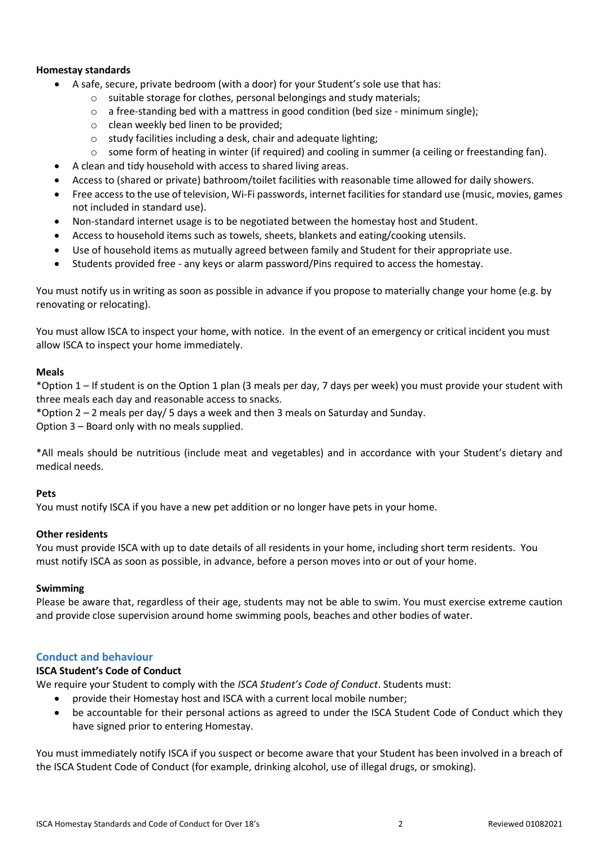# **Homestay standards**

- A safe, secure, private bedroom (with a door) for your Student's sole use that has:
	- o suitable storage for clothes, personal belongings and study materials;
	- $\circ$  a free-standing bed with a mattress in good condition (bed size minimum single);
	- o clean weekly bed linen to be provided;
	- o study facilities including a desk, chair and adequate lighting;
	- $\circ$  some form of heating in winter (if required) and cooling in summer (a ceiling or freestanding fan).
- A clean and tidy household with access to shared living areas.
- Access to (shared or private) bathroom/toilet facilities with reasonable time allowed for daily showers.
- Free access to the use of television, Wi-Fi passwords, internet facilities for standard use (music, movies, games not included in standard use).
- Non-standard internet usage is to be negotiated between the homestay host and Student.
- Access to household items such as towels, sheets, blankets and eating/cooking utensils.
- Use of household items as mutually agreed between family and Student for their appropriate use.
- Students provided free any keys or alarm password/Pins required to access the homestay.

You must notify us in writing as soon as possible in advance if you propose to materially change your home (e.g. by renovating or relocating).

You must allow ISCA to inspect your home, with notice. In the event of an emergency or critical incident you must allow ISCA to inspect your home immediately.

# **Meals**

\*Option 1 – If student is on the Option 1 plan (3 meals per day, 7 days per week) you must provide your student with three meals each day and reasonable access to snacks.

\*Option 2 – 2 meals per day/ 5 days a week and then 3 meals on Saturday and Sunday.

Option 3 – Board only with no meals supplied.

\*All meals should be nutritious (include meat and vegetables) and in accordance with your Student's dietary and medical needs.

# **Pets**

You must notify ISCA if you have a new pet addition or no longer have pets in your home.

# **Other residents**

You must provide ISCA with up to date details of all residents in your home, including short term residents. You must notify ISCA as soon as possible, in advance, before a person moves into or out of your home.

# **Swimming**

Please be aware that, regardless of their age, students may not be able to swim. You must exercise extreme caution and provide close supervision around home swimming pools, beaches and other bodies of water.

# **Conduct and behaviour**

# **ISCA Student's Code of Conduct**

We require your Student to comply with the *ISCA Student's Code of Conduct*. Students must:

- provide their Homestay host and ISCA with a current local mobile number;
- be accountable for their personal actions as agreed to under the ISCA Student Code of Conduct which they have signed prior to entering Homestay.

You must immediately notify ISCA if you suspect or become aware that your Student has been involved in a breach of the ISCA Student Code of Conduct (for example, drinking alcohol, use of illegal drugs, or smoking).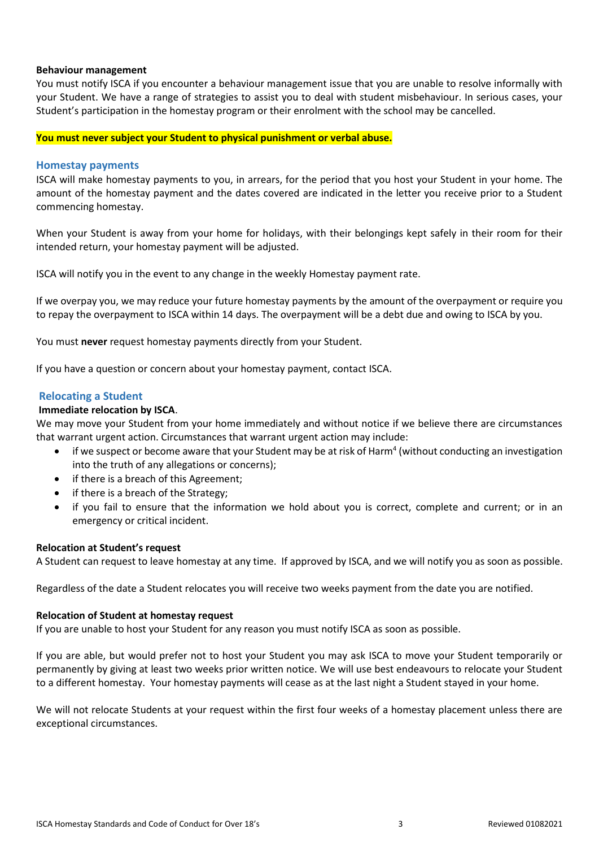# **Behaviour management**

You must notify ISCA if you encounter a behaviour management issue that you are unable to resolve informally with your Student. We have a range of strategies to assist you to deal with student misbehaviour. In serious cases, your Student's participation in the homestay program or their enrolment with the school may be cancelled.

#### **You must never subject your Student to physical punishment or verbal abuse.**

#### **Homestay payments**

ISCA will make homestay payments to you, in arrears, for the period that you host your Student in your home. The amount of the homestay payment and the dates covered are indicated in the letter you receive prior to a Student commencing homestay.

When your Student is away from your home for holidays, with their belongings kept safely in their room for their intended return, your homestay payment will be adjusted.

ISCA will notify you in the event to any change in the weekly Homestay payment rate.

If we overpay you, we may reduce your future homestay payments by the amount of the overpayment or require you to repay the overpayment to ISCA within 14 days. The overpayment will be a debt due and owing to ISCA by you.

You must **never** request homestay payments directly from your Student.

If you have a question or concern about your homestay payment, contact ISCA.

#### **Relocating a Student**

#### **Immediate relocation by ISCA**.

We may move your Student from your home immediately and without notice if we believe there are circumstances that warrant urgent action. Circumstances that warrant urgent action may include:

- if we suspect or become aware that your Student may be at risk of Harm<sup>4</sup> (without conducting an investigation into the truth of any allegations or concerns);
- if there is a breach of this Agreement;
- if there is a breach of the Strategy;
- if you fail to ensure that the information we hold about you is correct, complete and current; or in an emergency or critical incident.

#### **Relocation at Student's request**

A Student can request to leave homestay at any time. If approved by ISCA, and we will notify you as soon as possible.

Regardless of the date a Student relocates you will receive two weeks payment from the date you are notified.

#### **Relocation of Student at homestay request**

If you are unable to host your Student for any reason you must notify ISCA as soon as possible.

If you are able, but would prefer not to host your Student you may ask ISCA to move your Student temporarily or permanently by giving at least two weeks prior written notice. We will use best endeavours to relocate your Student to a different homestay. Your homestay payments will cease as at the last night a Student stayed in your home.

We will not relocate Students at your request within the first four weeks of a homestay placement unless there are exceptional circumstances.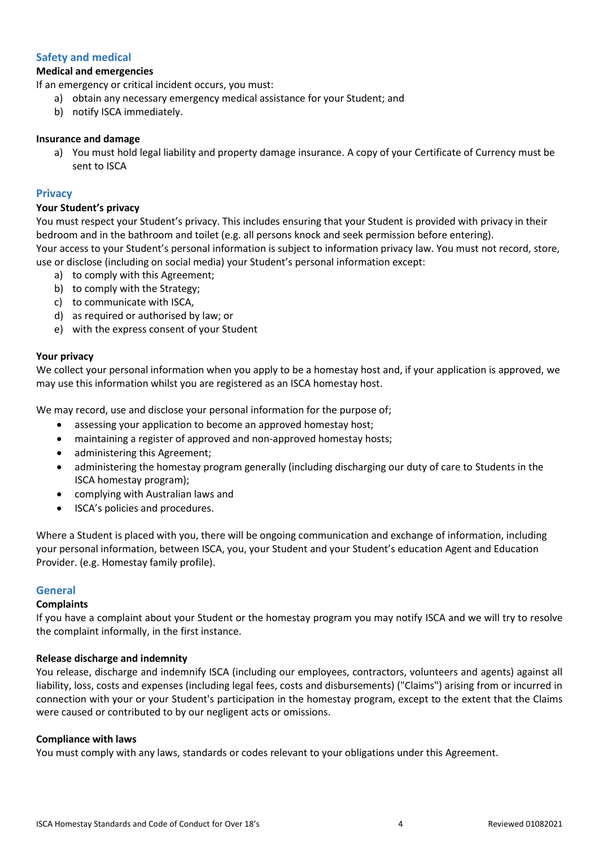# **Safety and medical**

# **Medical and emergencies**

If an emergency or critical incident occurs, you must:

- a) obtain any necessary emergency medical assistance for your Student; and
- b) notify ISCA immediately.

### **Insurance and damage**

a) You must hold legal liability and property damage insurance. A copy of your Certificate of Currency must be sent to ISCA

### **Privacy**

### **Your Student's privacy**

You must respect your Student's privacy. This includes ensuring that your Student is provided with privacy in their bedroom and in the bathroom and toilet (e.g. all persons knock and seek permission before entering). Your access to your Student's personal information is subject to information privacy law. You must not record, store, use or disclose (including on social media) your Student's personal information except:

- a) to comply with this Agreement;
- b) to comply with the Strategy;
- c) to communicate with ISCA,
- d) as required or authorised by law; or
- e) with the express consent of your Student

#### **Your privacy**

We collect your personal information when you apply to be a homestay host and, if your application is approved, we may use this information whilst you are registered as an ISCA homestay host.

We may record, use and disclose your personal information for the purpose of;

- assessing your application to become an approved homestay host;
- maintaining a register of approved and non-approved homestay hosts;
- administering this Agreement;
- administering the homestay program generally (including discharging our duty of care to Students in the ISCA homestay program);
- complying with Australian laws and
- ISCA's policies and procedures.

Where a Student is placed with you, there will be ongoing communication and exchange of information, including your personal information, between ISCA, you, your Student and your Student's education Agent and Education Provider. (e.g. Homestay family profile).

# **General**

# **Complaints**

If you have a complaint about your Student or the homestay program you may notify ISCA and we will try to resolve the complaint informally, in the first instance.

# **Release discharge and indemnity**

You release, discharge and indemnify ISCA (including our employees, contractors, volunteers and agents) against all liability, loss, costs and expenses (including legal fees, costs and disbursements) ("Claims") arising from or incurred in connection with your or your Student's participation in the homestay program, except to the extent that the Claims were caused or contributed to by our negligent acts or omissions.

# **Compliance with laws**

You must comply with any laws, standards or codes relevant to your obligations under this Agreement.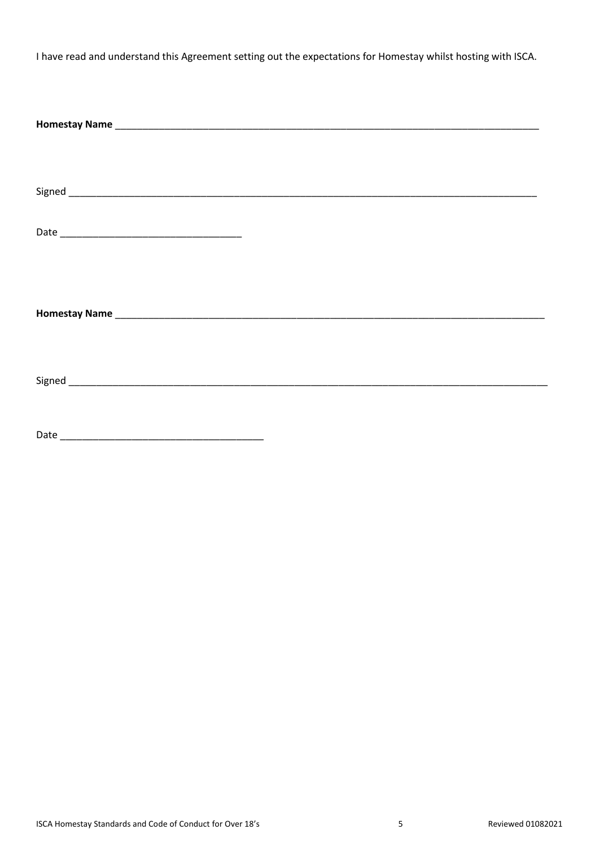I have read and understand this Agreement setting out the expectations for Homestay whilst hosting with ISCA.